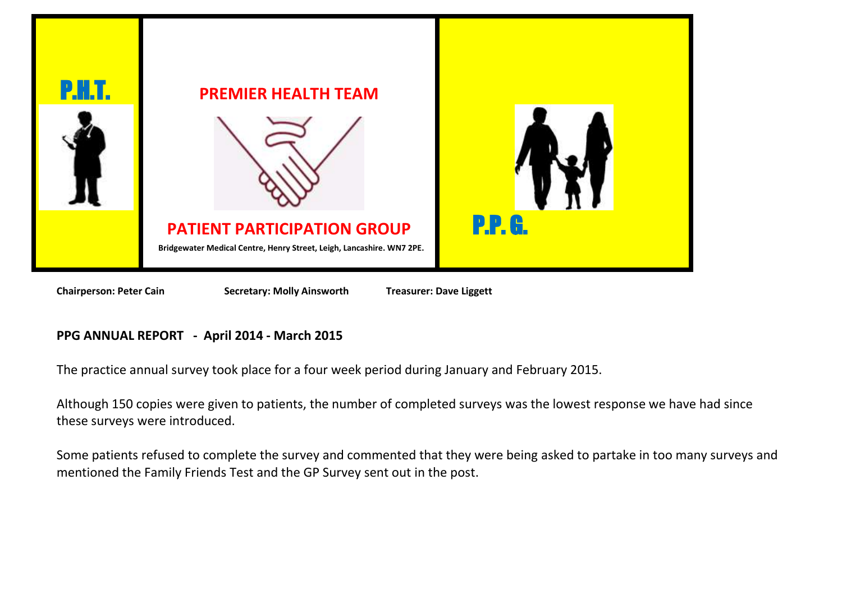

**Chairperson: Peter Cain** Secretary: Molly Ainsworth Treasurer: Dave Liggett

# **PPG ANNUAL REPORT - April 2014 - March 2015**

The practice annual survey took place for a four week period during January and February 2015.

Although 150 copies were given to patients, the number of completed surveys was the lowest response we have had since these surveys were introduced.

Some patients refused to complete the survey and commented that they were being asked to partake in too many surveys and mentioned the Family Friends Test and the GP Survey sent out in the post.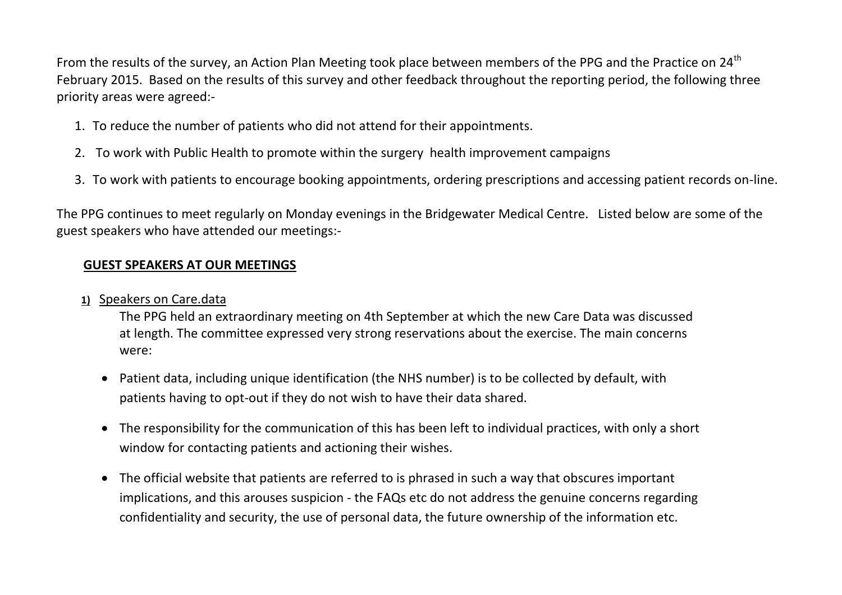From the results of the survey, an Action Plan Meeting took place between members of the PPG and the Practice on 24<sup>th</sup> February 2015. Based on the results of this survey and other feedback throughout the reporting period, the following three priority areas were agreed:-

- 1. To reduce the number of patients who did not attend for their appointments.
- 2. To work with Public Health to promote within the surgery health improvement campaigns
- 3. To work with patients to encourage booking appointments, ordering prescriptions and accessing patient records on-line.

The PPG continues to meet regularly on Monday evenings in the Bridgewater Medical Centre. Listed below are some of the guest speakers who have attended our meetings:-

## **GUEST SPEAKERS AT OUR MEETINGS**

**1)** Speakers on Care.data

The PPG held an extraordinary meeting on 4th September at which the new Care Data was discussed at length. The committee expressed very strong reservations about the exercise. The main concerns were:

- Patient data, including unique identification (the NHS number) is to be collected by default, with patients having to opt-out if they do not wish to have their data shared.
- The responsibility for the communication of this has been left to individual practices, with only a short window for contacting patients and actioning their wishes.
- The official website that patients are referred to is phrased in such a way that obscures important implications, and this arouses suspicion - the FAQs etc do not address the genuine concerns regarding confidentiality and security, the use of personal data, the future ownership of the information etc.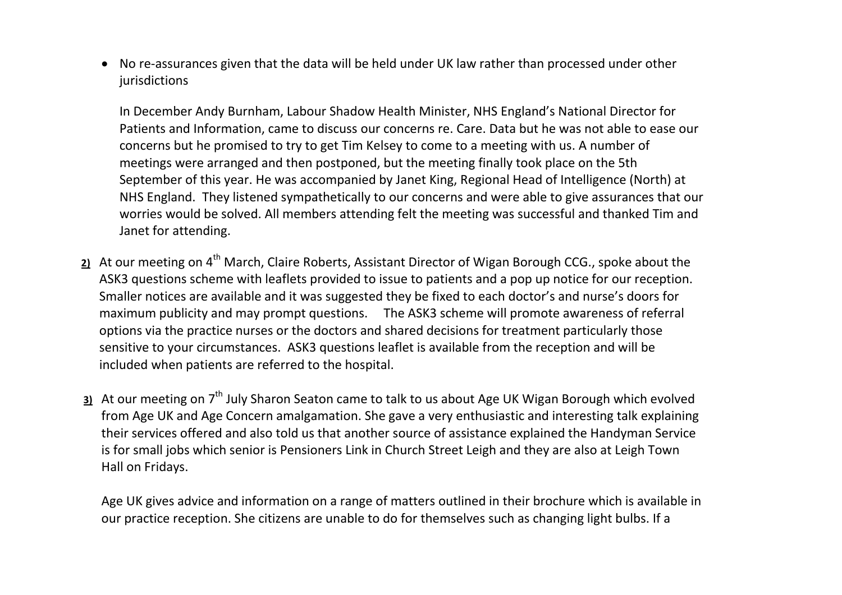No re-assurances given that the data will be held under UK law rather than processed under other jurisdictions

In December Andy Burnham, Labour Shadow Health Minister, NHS England's National Director for Patients and Information, came to discuss our concerns re. Care. Data but he was not able to ease our concerns but he promised to try to get Tim Kelsey to come to a meeting with us. A number of meetings were arranged and then postponed, but the meeting finally took place on the 5th September of this year. He was accompanied by Janet King, Regional Head of Intelligence (North) at NHS England. They listened sympathetically to our concerns and were able to give assurances that our worries would be solved. All members attending felt the meeting was successful and thanked Tim and Janet for attending.

- 2) At our meeting on 4<sup>th</sup> March, Claire Roberts, Assistant Director of Wigan Borough CCG., spoke about the ASK3 questions scheme with leaflets provided to issue to patients and a pop up notice for our reception. Smaller notices are available and it was suggested they be fixed to each doctor's and nurse's doors for maximum publicity and may prompt questions. The ASK3 scheme will promote awareness of referral options via the practice nurses or the doctors and shared decisions for treatment particularly those sensitive to your circumstances. ASK3 questions leaflet is available from the reception and will be included when patients are referred to the hospital.
- **3)** At our meeting on 7<sup>th</sup> July Sharon Seaton came to talk to us about Age UK Wigan Borough which evolved from Age UK and Age Concern amalgamation. She gave a very enthusiastic and interesting talk explaining their services offered and also told us that another source of assistance explained the Handyman Service is for small jobs which senior is Pensioners Link in Church Street Leigh and they are also at Leigh Town Hall on Fridays.

Age UK gives advice and information on a range of matters outlined in their brochure which is available in our practice reception. She citizens are unable to do for themselves such as changing light bulbs. If a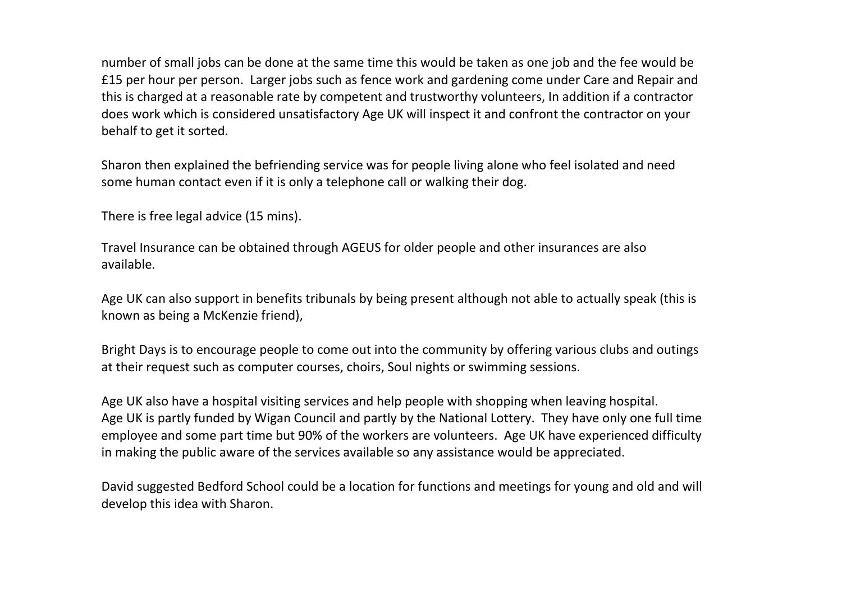number of small jobs can be done at the same time this would be taken as one job and the fee would be £15 per hour per person. Larger jobs such as fence work and gardening come under Care and Repair and this is charged at a reasonable rate by competent and trustworthy volunteers, In addition if a contractor does work which is considered unsatisfactory Age UK will inspect it and confront the contractor on your behalf to get it sorted.

Sharon then explained the befriending service was for people living alone who feel isolated and need some human contact even if it is only a telephone call or walking their dog.

There is free legal advice (15 mins).

Travel Insurance can be obtained through AGEUS for older people and other insurances are also available.

Age UK can also support in benefits tribunals by being present although not able to actually speak (this is known as being a McKenzie friend),

Bright Days is to encourage people to come out into the community by offering various clubs and outings at their request such as computer courses, choirs, Soul nights or swimming sessions.

Age UK also have a hospital visiting services and help people with shopping when leaving hospital. Age UK is partly funded by Wigan Council and partly by the National Lottery. They have only one full time employee and some part time but 90% of the workers are volunteers. Age UK have experienced difficulty in making the public aware of the services available so any assistance would be appreciated.

David suggested Bedford School could be a location for functions and meetings for young and old and will develop this idea with Sharon.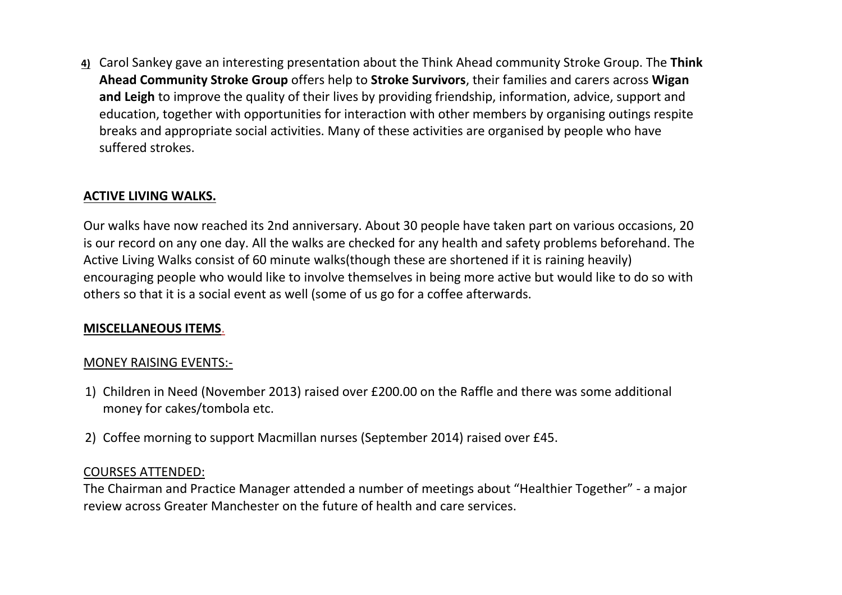**4)** Carol Sankey gave an interesting presentation about the Think Ahead community Stroke Group. The **Think Ahead Community Stroke Group** offers help to **Stroke Survivors**, their families and carers across **Wigan and Leigh** to improve the quality of their lives by providing friendship, information, advice, support and education, together with opportunities for interaction with other members by organising outings respite breaks and appropriate social activities. Many of these activities are organised by people who have suffered strokes.

#### **ACTIVE LIVING WALKS.**

Our walks have now reached its 2nd anniversary. About 30 people have taken part on various occasions, 20 is our record on any one day. All the walks are checked for any health and safety problems beforehand. The Active Living Walks consist of 60 minute walks(though these are shortened if it is raining heavily) encouraging people who would like to involve themselves in being more active but would like to do so with others so that it is a social event as well (some of us go for a coffee afterwards.

#### **MISCELLANEOUS ITEMS**.

#### MONEY RAISING EVENTS:-

- 1) Children in Need (November 2013) raised over £200.00 on the Raffle and there was some additional money for cakes/tombola etc.
- 2) Coffee morning to support Macmillan nurses (September 2014) raised over £45.

#### COURSES ATTENDED:

The Chairman and Practice Manager attended a number of meetings about "Healthier Together" - a major review across Greater Manchester on the future of health and care services.